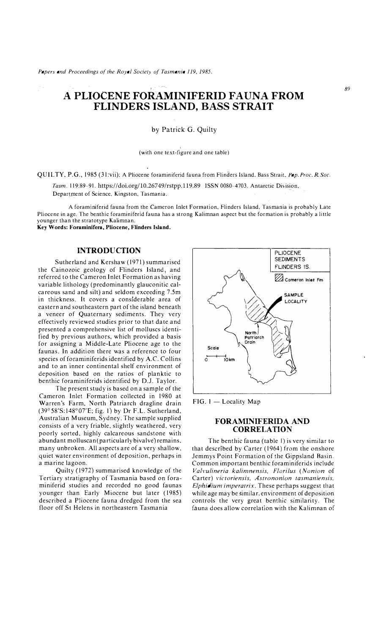# **A PLIOCENE FORAMINIFERID FAUNA FROM FLINDERS ISLAND, BASS STRAIT**

by Patrick G. Quilty

#### (with one text-figure and one table)

QCIL TY. P.G., 1985 (31 :vii): A Pliocene foraminiferid fauna from Flinders Island. Bass Strait. *Pap. Proc. R.Soc.* 

Tasm. 119:89-91. https://doi.org/10.26749/rstpp.119.89 ISSN 0080-4703. Antarctic Division. Department of Science. Kingston. Tasmania.

**A** foraminiferid fauna from the Cameron Inlet Formation. Flinders Island. Tasmania is probably Late Pliocene in age. The benthic foraminiferid fauna has a strong Kalimnan aspect but the formation is probably a little younger than the stratotype Kalimnan. **Key Words: Foraminifera, Pliocene, Flinders Island.** 

**INTRODUCTION** 

Sutherland and Kershaw (1971) summarised the Cainozoic geology of Flinders Island. and referred to the Cameron Inlet Formation as having variable lithology (predominantly glauconitic calcareous sand and silt) and seldom exceeding 7.5m in thickness. It covers a considerable area of eastern and southeastern part of the island beneath a veneer of Quaternary sediments. They very effectively reviewed studies prior to that date and presented a comprehensive list of molluscs identified by previous authors. which provided a basis for assigning a Middle-Late Pliocene age to the faunas. In addition there was a reference to four species of foraminiferids identified by A.C. Collins and to an inner continental shelf environment of deposition based on the ratios of planktic to benthic foraminiferids identified by D.J. Taylor.

The present study is based on a sample of the Cameron Inlet Formation collected in 1980 at Warren's Farm, North Patriarch dragline drain (39° 58'S: l48°07'E: fig. I) by Dr F.L. Sutherland. Australian Museum. Sydney. The sample supplied consists of a very friable. slightly weathered. very poorly sorted. highly calcareous sandstone with abundant molluscan (particularly bivalve) remains. many unbroken. All aspects are of a very shallow. quiet water environment of deposition. perhaps in a marine lagoon.

Quilty ( 1972) summarised knowledge of the Tertiary stratigraphy of Tasmania based on foraminiferid studies and recorded no good faunas younger than Early Miocene but later (1985) described a Pliocene fauna dredged from the sea floor off St Helens in northeastern Tasmania



FIG. 1 - Locality Map

## **FORAMINIFERIDA AND CORRELATION**

The benthic fauna (table I) is very similar to that described by Carter (1964) from the onshore Jemmys Point Formation of the Gippsland Basin. Common important benthic foraminiferids include *Vah·ulineria kalimnensis, Flori/us (\'onion* of Carter) victoriensis, Astrononion tasmaniensis, *Elphidium imperarrix.* These perhaps suggest that while age may be similar. environment of deposition controls the very great bentluc similarity. The fauna does allow correlation with the Kalimnan of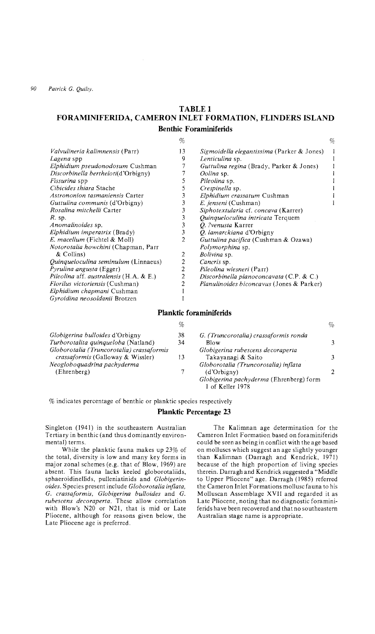*90 Patrick G. Quilty.* 

## **TABLE 1 FORAMINIFERIDA, CAMERON INLET FORMATION, FLINDERS ISLAND Benthic Foraminiferids**

 $\alpha$ 

|                                             | %              |                                                   | % |
|---------------------------------------------|----------------|---------------------------------------------------|---|
| <i>Valvulineria kalimnensis</i> (Parr)      | 13             | <i>Sigmoidella elegantissima</i> (Parker & Jones) |   |
| Lagena spp                                  | 9              | Lenticulina sp.                                   |   |
| Elphidium pseudonodosum Cushman             |                | Guttulina regina (Brady, Parker & Jones)          |   |
| Discorbinella bertheloti(d'Orbigny)         |                | Oolina sp.                                        |   |
| <i>Fissurina</i> spp                        | 5              | Pileolina sp.                                     |   |
| Cibicides thiara Stache                     | 5              | Crespinella sp.                                   |   |
| Astrononion tasmaniensis Carter             | 3              | Elphidium crassatum Cushman                       |   |
| <i>Guttulina communis</i> (d'Orbigny)       | 3              | E. jenseni (Cushman)                              |   |
| Rosalina mitchelli Carter                   | 3              | Siphotextularia cf. concava (Karrer)              |   |
| $R$ sp.                                     | 3              | Quinqueloculina intricata Terquem                 |   |
| Anomalinoides sp.                           | 3              | O. ?venusta Karrer                                |   |
| Elphidium imperatrix (Brady)                | 3              | Q. lamarckiana d'Orbigny                          |   |
| E. macellum (Fichtel & Moll)                | $\overline{2}$ | Guttulina pacifica (Cushman & Ozawa)              |   |
| <i>Notorotalia howchini</i> (Chapman, Parr  |                | <i>Polymorphina</i> sp.                           |   |
| & Collins)                                  | 2              | Bolivina sp.                                      |   |
| <i>Ouinqueloculina seminulum</i> (Linnaeus) | 2              | Cancris sp.                                       |   |
| <i>Pyrulina angusta</i> (Egger)             | 2              | Pileolina wiesneri (Parr)                         |   |
| Pileolina aff. australensis (H.A. & E.)     | 2              | Discorbinella planoconcavata $(C.P. & C.)$        |   |
| <i>Florilus victoriensis</i> (Cushman)      | 2              | <i>Planulinoides biconcavus</i> (Jones & Parker)  |   |
| Elphidium chapmani Cushman                  |                |                                                   |   |
| Gyroidina neosoldanii Brotzen               |                |                                                   |   |

## **Planktic foraminiferids**

|                                           | %  |                                         | %  |
|-------------------------------------------|----|-----------------------------------------|----|
| Globigerina bulloides d'Orbigny           | 38 | G. (Truncorotalia) crassaformis ronda   |    |
| Turborotalita quinqueloba (Natland)       | 34 | Blow                                    | 3. |
| Globorotalia (Truncorotalia) crassaformis |    | Globigerina rubescens decoraperta       |    |
| <i>crassaformis</i> (Galloway & Wissler)  | 13 | Takayanagi & Saito                      |    |
| Neogloboquadrina pachyderma               |    | Globorotalia (Truncorotalia) inflata    |    |
| (Ehrenberg)                               |    | (d'Orbigny)                             |    |
|                                           |    | Globigerina pachyderma (Ehrenberg) form |    |
|                                           |    | 1 of Keller 1978                        |    |

% indicates percentage of benthic or planktic species respectively

## **Planktic Percentage 23**

Singleton (1941) in the southeastern Australian Tertiary in benthic (and thus dominantly environmental) terms.

While the planktic fauna makes up 23% of the total, diversity is low and many key forms in major zonal schemes (e.g. that of Blow, 1969) are absent. This fauna lacks keeled globorotaliids, sphaeroidinellids, pulleniatinids and *Globigerin* $oides$ . Species present include *Globorotalia inflata*, G. *crassajormis, Globigerina bulloides* and G. *rubescens decoraperta.* These allow correlation with Blow's N20 or N21, that is mid or Late Pliocene, although for reasons given below, the Late Pliocene age is preferred.

The Kalimnan age determination for the Cameron Inlet Formation based on foraminiferids could be seen as being in conflict with the age based on molluscs which suggest an age slightly younger than Kalimnan (Darragh and Kendrick, 1971) because of the high proportion of living species therein. Darragh and Kendrick suggested a "Middle to Upper Pliocene" age. Darragh (1985) referred the Cameron Inlet Formations mollusc fauna to his Molluscan Assemblage XVII and regarded it as Late Pliocene, noting that no diagnostic foraminiferids have been recovered and that no southeastern Australian stage name is appropriate.